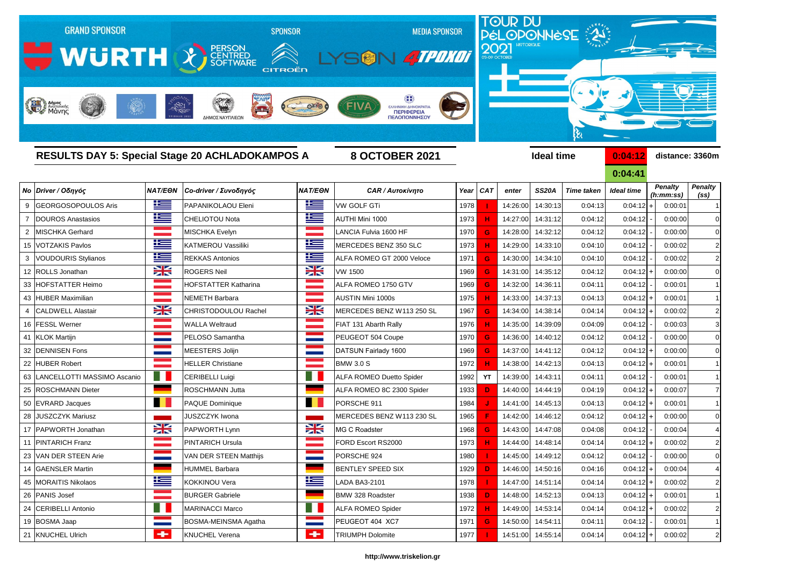

**0:04:41**

|                | Νο Driver / Οδηγός               | <b>NAT/EON</b> | Co-driver / Συνοδηγός       | <b>NAT/EON</b> | <b>CAR / Αυτοκίνητο</b>         | Year | <b>CAT</b> | enter    | <b>SS20A</b>      | <b>Time taken</b> | Ideal time  | <b>Penalty</b><br>(h:mm:ss) | <b>Penalty</b><br>(s <sub>s</sub> ) |
|----------------|----------------------------------|----------------|-----------------------------|----------------|---------------------------------|------|------------|----------|-------------------|-------------------|-------------|-----------------------------|-------------------------------------|
| 9              | <b>GEORGOSOPOULOS Aris</b>       | 上三             | PAPANIKOLAOU Eleni          | <u>ik s</u>    | <b>VW GOLF GTi</b>              | 1978 |            | 14:26:00 | 14:30:13          | 0:04:13           | $0:04:12$ + | 0:00:01                     |                                     |
|                | DOUROS Anastasios                | <u>is –</u>    | <b>CHELIOTOU Nota</b>       | 些              | AUTHI Mini 1000                 | 1973 |            | 14:27:00 | 14:31:12          | 0:04:12           | 0:04:12     | 0:00:00                     | $\Omega$                            |
| $\overline{2}$ | MISCHKA Gerhard                  |                | MISCHKA Evelyn              |                | LANCIA Fulvia 1600 HF           | 1970 | G          | 14:28:00 | 14:32:12          | 0:04:12           | 0:04:12     | 0:00:00                     | $\overline{0}$                      |
|                | 15   VOTZAKIS Pavlos             | <u>te</u>      | <b>KATMEROU Vassiliki</b>   | E              | MERCEDES BENZ 350 SLC           | 1973 |            | 14:29:00 | 14:33:10          | 0:04:10           | 0:04:12     | 0:00:02                     | $\mathbf{2}$                        |
| 3              | VOUDOURIS Stylianos              | <u>iks </u>    | <b>REKKAS Antonios</b>      | <u>ik s</u>    | ALFA ROMEO GT 2000 Veloce       | 1971 | G          | 14:30:00 | 14:34:10          | 0:04:10           | 0:04:12     | 0:00:02                     | $\overline{2}$                      |
|                | 12 ROLLS Jonathan                | XK             | <b>ROGERS Neil</b>          | X              | <b>VW 1500</b>                  | 1969 |            | 14:31:00 | 14:35:12          | 0:04:12           | $0:04:12$ - | 0:00:00                     | $\Omega$                            |
|                | 33 HOFSTATTER Heimo              |                | <b>HOFSTATTER Katharina</b> |                | ALFA ROMEO 1750 GTV             | 1969 | G          | 14:32:00 | 14:36:11          | 0:04:11           | 0:04:12     | 0:00:01                     |                                     |
|                | 43 HUBER Maximilian              |                | <b>NEMETH Barbara</b>       |                | <b>AUSTIN Mini 1000s</b>        | 1975 |            | 14:33:00 | 14:37:13          | 0:04:13           | $0:04:12$ + | 0:00:01                     |                                     |
| 4              | <b>CALDWELL Alastair</b>         | XK             | <b>CHRISTODOULOU Rachel</b> | <del>≽</del>   | MERCEDES BENZ W113 250 SL       | 1967 | G          | 14:34:00 | 14:38:14          | 0:04:14           | 0:04:12     | 0:00:02                     | $\overline{2}$                      |
|                | 16 FESSL Werner                  |                | <b>WALLA Weltraud</b>       |                | FIAT 131 Abarth Rally           | 1976 |            | 14:35:00 | 14:39:09          | 0:04:09           | 0:04:12     | 0:00:03                     | $\mathbf{3}$                        |
|                | 41 KLOK Martijn                  |                | PELOSO Samantha             |                | PEUGEOT 504 Coupe               | 1970 | G          | 14:36:00 | 14:40:12          | 0:04:12           | 0:04:12     | 0:00:00                     | $\Omega$                            |
|                | 32 DENNISEN Fons                 |                | MEESTERS Jolijn             |                | DATSUN Fairlady 1600            | 1969 | G          | 14:37:00 | 14:41:12          | 0:04:12           | $0:04:12$ + | 0:00:00                     | $\Omega$                            |
|                | 22 HUBER Robert                  |                | <b>HELLER Christiane</b>    |                | <b>BMW 3.0 S</b>                | 1972 |            | 14:38:00 | 14:42:13          | 0:04:13           | 0:04:12     | 0:00:01                     |                                     |
|                | 63   LANCELLOTTI MASSIMO Ascanio |                | CERIBELLI Luigi             |                | <b>ALFA ROMEO Duetto Spider</b> | 1992 | <b>YT</b>  | 14:39:00 | 14:43:11          | 0:04:11           | 0:04:12     | 0:00:01                     | $\vert$ 1                           |
|                | 25   ROSCHMANN Dieter            |                | ROSCHMANN Jutta             |                | ALFA ROMEO 8C 2300 Spider       | 1933 | D          | 14:40:00 | 14:44:19          | 0:04:19           | $0:04:12$ + | 0:00:07                     | $\overline{7}$                      |
|                | 50 EVRARD Jacques                |                | <b>PAQUE Dominique</b>      |                | PORSCHE 911                     | 1984 |            | 14:41:00 | 14:45:13          | 0:04:13           | $0:04:12$ + | 0:00:01                     | $\overline{1}$                      |
|                | 28 JUSZCZYK Mariusz              |                | <b>JUSZCZYK Iwona</b>       |                | MERCEDES BENZ W113 230 SL       | 1965 |            | 14:42:00 | 14:46:12          | 0:04:12           | 0:04:12     | 0:00:00                     | $\Omega$                            |
|                | 17 PAPWORTH Jonathan             | X              | PAPWORTH Lynn               | X              | MG C Roadster                   | 1968 | G          | 14:43:00 | 14:47:08          | 0:04:08           | 0:04:12     | 0:00:04                     |                                     |
|                | 11 PINTARICH Franz               |                | <b>PINTARICH Ursula</b>     |                | FORD Escort RS2000              | 1973 |            | 14:44:00 | 14:48:14          | 0:04:14           | $0:04:12$ - | 0:00:02                     | $\mathbf{2}$                        |
|                | 23 VAN DER STEEN Arie            |                | VAN DER STEEN Matthijs      |                | PORSCHE 924                     | 1980 |            | 14:45:00 | 14:49:12          | 0:04:12           | 0:04:12     | 0:00:00                     | $\overline{0}$                      |
|                | 14 GAENSLER Martin               |                | <b>HUMMEL Barbara</b>       |                | <b>BENTLEY SPEED SIX</b>        | 1929 |            | 14:46:00 | 14:50:16          | 0:04:16           | 0:04:12     | 0:00:04                     |                                     |
|                | 45 MORAITIS Nikolaos             | f and a        | <b>KOKKINOU Vera</b>        | ۲              | LADA BA3-2101                   | 1978 |            |          | 14:47:00 14:51:14 | 0:04:14           | $0:04:12$ + | 0:00:02                     | $\leq$                              |
|                | 26 PANIS Josef                   |                | <b>BURGER Gabriele</b>      |                | <b>BMW 328 Roadster</b>         | 1938 | D.         | 14:48:00 | 14:52:13          | 0:04:13           | $0:04:12$ + | 0:00:01                     | $\vert$ 1                           |
|                | 24 CERIBELLI Antonio             |                | <b>MARINACCI Marco</b>      | Ħ              | <b>ALFA ROMEO Spider</b>        | 1972 |            | 14:49:00 | 14:53:14          | 0:04:14           | $0:04:12$ + | 0:00:02                     | $\mathbf{2}$                        |
|                | 19 BOSMA Jaap                    |                | BOSMA-MEINSMA Agatha        |                | PEUGEOT 404 XC7                 | 1971 | G          | 14:50:00 | 14:54:11          | 0:04:11           | 0:04:12     | 0:00:01                     | $\vert$ 1                           |
|                | 21 KNUCHEL Ulrich                | $\leftarrow$   | <b>KNUCHEL Verena</b>       | $\leftarrow$   | <b>TRIUMPH Dolomite</b>         | 1977 |            |          | 14:51:00 14:55:14 | 0:04:14           | $0:04:12$ + | 0:00:02                     | $\mathbf{2}$                        |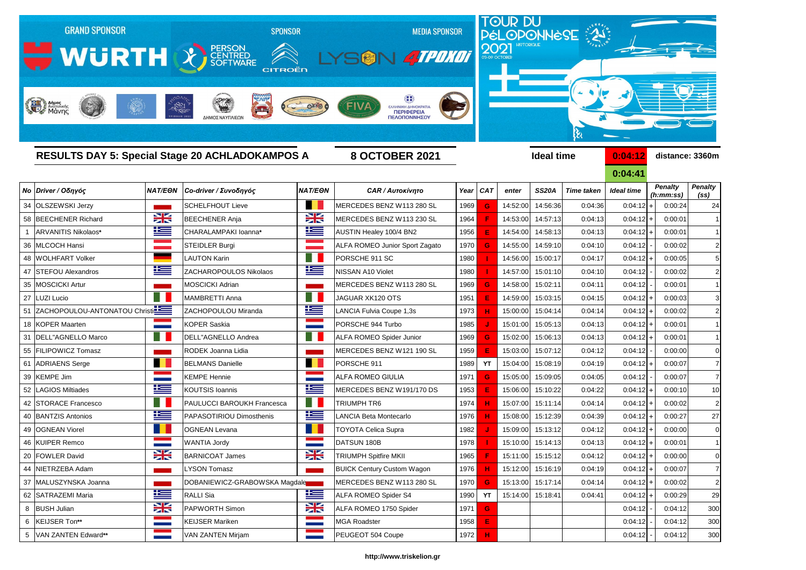

**0:04:41**

| <b>Ideal time</b> |                          | <b>Penalty</b><br>(h:mm:ss) | <b>Penalty</b><br>(ss) |  |  |  |  |
|-------------------|--------------------------|-----------------------------|------------------------|--|--|--|--|
| 0:04:12           | $\ddot{}$                | 0:00:24                     | 24                     |  |  |  |  |
| 0:04:12           | $\ddot{}$                | 0:00:01                     | 1                      |  |  |  |  |
| 0:04:12           | $\ddot{}$                | 0:00:01                     | 1                      |  |  |  |  |
| 0:04:12           | -                        | 0:00:02                     | $\overline{c}$         |  |  |  |  |
| 0:04:12           | $\ddot{}$                | 0:00:05                     | 5                      |  |  |  |  |
| 0:04:12           | $\overline{\phantom{0}}$ | 0:00:02                     | $\overline{c}$         |  |  |  |  |
| 0:04:12           | $\overline{\phantom{0}}$ | 0:00:01                     | 1                      |  |  |  |  |
| 0:04:12           | $\ddot{}$                | 0:00:03                     | 3                      |  |  |  |  |
| 0:04:12           | $\ddot{}$                | 0:00:02                     | $\overline{c}$         |  |  |  |  |
| 0:04:12           | $\ddot{}$                | 0:00:01                     | 1                      |  |  |  |  |
| 0:04:12           | $\ddot{}$                | 0:00:01                     | 1                      |  |  |  |  |
| 0:04:12           | $\overline{a}$           | 0:00:00                     | 0                      |  |  |  |  |
| 0:04:12           | $\ddot{}$                | 0:00:07                     | 7                      |  |  |  |  |
| 0:04:12           | $\overline{a}$           | 0:00:07                     | 7                      |  |  |  |  |
| 0:04:12           | $\ddot{}$                | 0:00:10                     | 10                     |  |  |  |  |
| 0:04:12           | $\ddot{}$                | 0:00:02                     | $\overline{2}$         |  |  |  |  |
| 0:04:12           | $\ddot{}$                | 0:00:27                     | 27                     |  |  |  |  |
| 0:04:12           | $\ddot{}$                | 0:00:00                     | 0                      |  |  |  |  |
| 0:04:12           | $\ddot{}$                | 0:00:01                     | 1                      |  |  |  |  |
| 0:04:12           | +                        | 0:00:00                     | 0                      |  |  |  |  |
| 0:04:12           | $\ddot{}$                | 0:00:07                     | 7                      |  |  |  |  |
| 0:04:12           | +                        | 0:00:02                     | 2                      |  |  |  |  |
| 0:04:12           | $\ddot{}$                | 0:00:29                     | 29                     |  |  |  |  |
| 0:04:12           | -                        | 0:04:12                     | 300                    |  |  |  |  |
| 0:04:12           |                          | 0:04:12                     | 300                    |  |  |  |  |
| 0:04:12           |                          | 0:04:12                     | 300                    |  |  |  |  |

# *Νο Driver / Οδηγός NAT/EΘΝ Co-driver / Συνοδηγός NAT/EΘΝ CAR / Αυτοκίνητο Year CAT enter SS20A Time taken Ideal time* 34 OLSZEWSKI Jerzy **Schelfhout Lieve MERCEDES BENZ W113 280 SL 1969 G** 14:52:00 14:56:36 0:04:36 1:00:04:36 + 0:04 58 BEECHENER Richard **BEECHENER Anja** BEECHENER Anja MERCEDES BENZ W113 230 SL 1964 **F** 14:53:00 14:57:13 0:04:13 1 ARVANITIS Nikolaos**\*** CHARALAMPAKI Ioanna**\*** AUSTIN Healey 100/4 BN2 1956 **E** 14:54:00 14:58:13 0:04:13 0:04:12 + 0:00:01 1 36 MLCOCH Hansi STEIDLER Burgi **ALFA ROMEO Junior Sport Zagato** 1970 **G** 14:55:00 14:59:10 0:04:10 48 WOLHFART Volker LAUTON Karin PORSCHE 911 SC 1980  **I**  14:56:00 15:00:17 0:04:17 0:04:12 + 0:00:05 5 47 STEFOU Alexandros ZACHAROPOULOS Nikolaos NISSAN A10 Violet 1980  **I**  14:57:00 15:01:10 0:04:10 0:04:12 - 0:00:02 2 35 MOSCICKI Artur MOSCICKI Adrian MOSCICKI Adrian MERCEDES BENZ W113 280 SL 1969 **G** 14:58:00 15:02:11 0:04:11 27 LUZI Lucio MAMBRETTI Anna JAGUAR XK120 OTS 1951 **E** 14:59:00 15:03:15 0:04:15 0:04:12 + 0:00:03 3 51 ZACHOPOULOU-ANTONATOU Christi**nica Land ZACHOPOULOU Miranda** LANCIA Fulvia Coupe 1,3s 1973 **H** 15:00:00 15:04:14 0:04:14 18 KOPER Maarten KOPER Saskia PORSCHE 944 Turbo 1985 <mark> J </mark> 15:01:00 15:05:13 0:04:13 0:04:12 + 0:00:01 1 31 DELL"AGNELLO Marco **DELLETAGNELLO Andrea** ALFA ROMEO Spider Junior 1969 **G** 15:02:00 15:06:13 0:04:13 55 FILIPOWICZ Tomasz RODEK Joanna Lidia MERCEDES BENZ W121 190 SL 1959 **E** 15:03:00 15:07:12 0:04:12 0:04:12 - 0:00:00 0 61 ADRIAENS Serge BELMANS Danielle PORSCHE 911 1989 |YT |15:04:00 15:08:19 0:04:19 0:04:12 + 0:00:07 7 39 KEMPE Jim KEMPE Hennie 1971 <mark> G </mark> 15:05:00 15:09:05 0:04:05 0:04:12 - | 0:00:07 7 52 LAGIOS Miltiades **KOUTSIS Ioannis MERCEDES BENZ W191/170 DS** 1953 **E** 15:06:00 15:10:22 0:04:22 42 STORACE Francesco **PAULUCCI BAROUKH Francesca** TRIUMPH TR6 1974 **H** 15:07:00 15:11:14 0:04:14 40 BANTZIS Antonios **PAPASOTIRIOU Dimosthenis** LANCIA Beta Montecarlo 1976 **H** 15:08:00 15:12:39 0:04:39 49 OGNEAN Viorel OGNEAN Levana TOYOTA Celica Supra 1982  **J**  15:09:00 15:13:12 0:04:12 0:04:12 + 0:00:00 0 46 KUIPER Remco WANTIA Jordy DATSUN 180B 1978  **I**  15:10:00 15:14:13 0:04:13 0:04:12 + 0:00:01 1 20 FOWLER David BARNICOAT James TRIUMPH Spitfire MKII 1965 <mark> F </mark> 15:11:00 15:15:12 0:04:12 0:04:12 + 0:00:00 0 44 NIETRZEBA Adam **LYSON Tomasz BUICK Century Custom Wagon** 1976 **H** 15:12:00 15:16:19 0:04:19 37 MALUSZYNSKA Joanna **DOBANIEWICZ-GRABOWSKA Magdale MERCEDES BENZ W113 280 SL** 1970 **G** 15:13:00 15:17:14 0:04:14 62 SATRAZEMI Maria RALLI Sia ALFA ROMEO Spider S4 1990  **YT**  15:14:00 15:18:41 0:04:41 0:04:12 + 0:00:29 29 8 BUSH Julian PAPWORTH Simon ALFA ROMEO 1750 Spider 1971 **G** 0:04:12 - 0:04:12 300 6 KEIJSER Ton\*\* KEIJSER Mariken MGA Roadster 1958 0:04:12 - | 0:04:12 300 5 VAN ZANTEN Edward**\*\*** VAN ZANTEN Mirjam PEUGEOT 504 Coupe 1972 **H** 0:04:12 - 0:04:12 300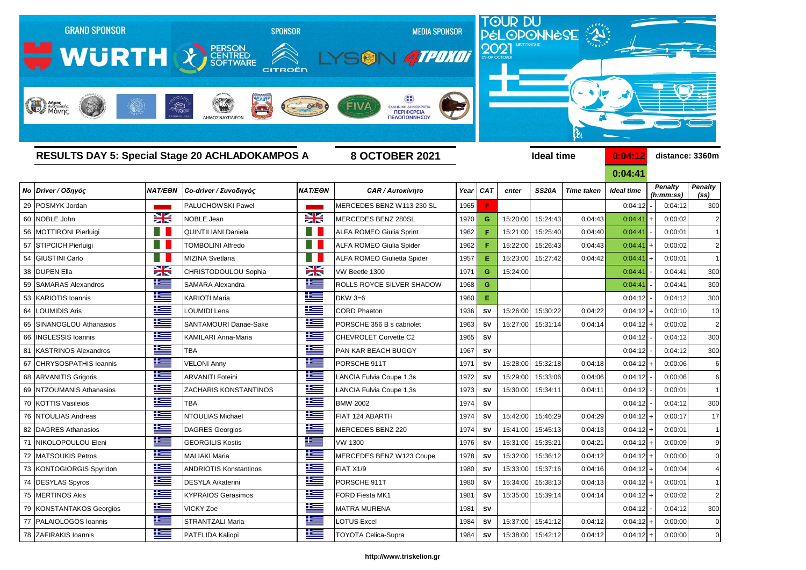

|    |                              | <b>RESULTS DAY 5: Special Stage 20 ACHLADOKAMPOS A</b><br><b>8 OCTOBER 2021</b> |                               |                |                                    |      |            |          | <b>Ideal time</b> |                   | 0:04:12     | distance: 3360m      |                                     |  |
|----|------------------------------|---------------------------------------------------------------------------------|-------------------------------|----------------|------------------------------------|------|------------|----------|-------------------|-------------------|-------------|----------------------|-------------------------------------|--|
|    |                              |                                                                                 |                               |                |                                    |      |            |          |                   |                   | 0:04:41     |                      |                                     |  |
|    | Νο Driver / Οδηγός           | <b>NAT/EON</b>                                                                  | Co-driver / Συνοδηγός         | <b>NAT/EON</b> | <b>CAR / Αυτοκίνητο</b>            |      | Year CAT   | enter    | <b>SS20A</b>      | <b>Time taken</b> | Ideal time  | Penalty<br>(h:mm:ss) | <b>Penalty</b><br>(s <sub>s</sub> ) |  |
|    | 29 POSMYK Jordan             |                                                                                 | PALUCHOWSKI Pawel             |                | MERCEDES BENZ W113 230 SL          | 1965 | F          |          |                   |                   | 0:04:12     | 0:04:12              | 300                                 |  |
| 60 | NOBLE John                   | $\geq$                                                                          | NOBLE Jean                    | X              | <b><i>MERCEDES BENZ 280SL</i></b>  | 1970 | G          | 15:20:00 | 15:24:43          | 0:04:43           | 0:04:41     | 0:00:02              | 2                                   |  |
|    | 56 MOTTIRONI Pierluigi       |                                                                                 | <b>QUINTILIANI Daniela</b>    | H.             | <b>ALFA ROMEO Giulia Sprint</b>    | 1962 |            | 15:21:00 | 15:25:40          | 0:04:40           | 0:04:41     | 0:00:01              |                                     |  |
|    | 57 STIPCICH Pierluigi        |                                                                                 | <b>TOMBOLINI Alfredo</b>      | H.             | <b>ALFA ROMEO Giulia Spider</b>    | 1962 |            | 15:22:00 | 15:26:43          | 0:04:43           | 0:04:41     | 0:00:02              | $\overline{2}$                      |  |
|    | 54 GIUSTINI Carlo            |                                                                                 | MIZINA Svetlana               | ٠H             | <b>ALFA ROMEO Giulietta Spider</b> | 1957 | E.         | 15:23:00 | 15:27:42          | 0:04:42           | 0:04:41     | 0:00:01              | 1                                   |  |
| 38 | <b>DUPEN Ella</b>            | $\geq$                                                                          | CHRISTODOULOU Sophia          | $\frac{1}{2}$  | VW Beetle 1300                     | 1971 | G          | 15:24:00 |                   |                   | 0:04:41     | 0:04:41              | 300                                 |  |
| 59 | <b>SAMARAS Alexandros</b>    | <u>is s</u>                                                                     | SAMARA Alexandra              | <u>ik s</u>    | ROLLS ROYCE SILVER SHADOW          | 1968 | G          |          |                   |                   | 0:04:41     | 0:04:41              | 300                                 |  |
|    | 53 KARIOTIS Ioannis          | 些                                                                               | <b>KARIOTI Maria</b>          | 些              | DKW 3=6                            | 1960 | Е          |          |                   |                   | 0:04:12     | 0:04:12              | 300                                 |  |
| 64 | <b>LOUMIDIS Aris</b>         | <u>is –</u>                                                                     | <b>LOUMIDI Lena</b>           | 些              | <b>CORD Phaeton</b>                | 1936 | SV         | 15:26:00 | 15:30:22          | 0:04:22           | 0:04:12     | 0:00:10              | 10                                  |  |
| 65 | SINANOGLOU Athanasios        | <u>ik –</u>                                                                     | SANTAMOURI Danae-Sake         | 些              | PORSCHE 356 B s cabriolet          | 1963 | SV         | 15:27:00 | 15:31:14          | 0:04:14           | 0:04:12     | 0:00:02              | $\overline{2}$                      |  |
| 66 | <b>INGLESSIS Ioannis</b>     | 些                                                                               | KAMILARI Anna-Maria           | <u>is </u>     | CHEVROLET Corvette C2              | 1965 | <b>SV</b>  |          |                   |                   | 0:04:12     | 0:04:12              | 300                                 |  |
| 81 | <b>KASTRINOS Alexandros</b>  | 些                                                                               | <b>TBA</b>                    | <u>K </u>      | PAN KAR BEACH BUGGY                | 1967 | SV         |          |                   |                   | 0:04:12     | 0:04:12              | 300                                 |  |
| 67 | <b>CHRYSOSPATHIS Ioannis</b> | 华                                                                               | <b>VELONI Anny</b>            | ٢Œ             | PORSCHE 911T                       | 1971 | SV         | 15:28:00 | 15:32:18          | 0:04:18           | 0:04:12     | 0:00:06              | 6                                   |  |
|    | 68 ARVANITIS Grigoris        | 些                                                                               | <b>ARVANITI Foteini</b>       | <u>is </u>     | LANCIA Fulvia Coupe 1,3s           | 1972 | SV         | 15:29:00 | 15:33:06          | 0:04:06           | 0:04:12     | 0:00:06              | 6                                   |  |
| 69 | NTZOUMANIS Athanasios        | <u>ik –</u>                                                                     | <b>ZACHARIS KONSTANTINOS</b>  | <u>ik s</u>    | <b>ANCIA Fulvia Coupe 1,3s</b>     | 1973 | <b>SV</b>  | 15:30:00 | 15:34:11          | 0:04:11           | 0:04:12     | 0:00:01              |                                     |  |
|    | 70 KOTTIS Vasileios          | <u>ik –</u>                                                                     | <b>TBA</b>                    | <u>ik –</u>    | <b>BMW 2002</b>                    | 1974 | SV         |          |                   |                   | 0:04:12     | 0:04:12              | 300                                 |  |
|    | 76 NTOULIAS Andreas          | <u>is –</u>                                                                     | NTOULIAS Michael              | <u>is –</u>    | FIAT 124 ABARTH                    | 1974 | SV         | 15:42:00 | 15:46:29          | 0:04:29           | $0:04:12$ + | 0:00:17              | 17                                  |  |
|    | 82   DAGRES Athanasios       | 坚                                                                               | DAGRES Georgios               | <u>is </u>     | <b>MERCEDES BENZ 220</b>           | 1974 | SV         | 15:41:00 | 15:45:13          | 0:04:13           | $0:04:12$ + | 0:00:01              | -1                                  |  |
|    | NIKOLOPOULOU Eleni           | <u>ik a</u>                                                                     | <b>GEORGILIS Kostis</b>       | 华              | <b>VW 1300</b>                     | 1976 | SV         | 15:31:00 | 15:35:21          | 0:04:21           | $0:04:12$ + | 0:00:09              | 9                                   |  |
|    | 72 MATSOUKIS Petros          | <u>ies</u>                                                                      | MALIAKI Maria                 | 连              | MERCEDES BENZ W123 Coupe           | 1978 | SV         |          | 15:32:00 15:36:12 | 0:04:12           | $0:04:12$ + | 0:00:00              | 0                                   |  |
|    | 73 KONTOGIORGIS Spyridon     | <u>ik s</u>                                                                     | <b>ANDRIOTIS Konstantinos</b> | 上三             | FIAT X1/9                          | 1980 | SV         | 15:33:00 | 15:37:16          | 0:04:16           | $0:04:12$ + | 0:00:04              | 4                                   |  |
|    | 74 DESYLAS Spyros            | <u>ik s</u>                                                                     | <b>DESYLA Aikaterini</b>      | <u>is </u>     | PORSCHE 911T                       | 1980 | SV         | 15:34:00 | 15:38:13          | 0:04:13           | $0:04:12$ + | 0:00:01              | -1                                  |  |
|    | 75 MERTINOS Akis             | <u>ik s</u>                                                                     | <b>KYPRAIOS Gerasimos</b>     | <u>ika </u>    | FORD Fiesta MK1                    | 1981 | ${\sf SV}$ | 15:35:00 | 15:39:14          | 0:04:14           | $0:04:12$ + | 0:00:02              | $\overline{2}$                      |  |
|    | 79 KONSTANTAKOS Georgios     | <u>iks </u>                                                                     | <b>VICKY Zoe</b>              | <u>ik s</u>    | <b>MATRA MURENA</b>                | 1981 | <b>SV</b>  |          |                   |                   | 0:04:12     | 0:04:12              | 300                                 |  |
|    | 77   PALAIOLOGOS Ioannis     | <u>ik s</u>                                                                     | <b>STRANTZALI Maria</b>       | <u>ika </u>    | LOTUS Excel                        | 1984 | SV         | 15:37:00 | 15:41:12          | 0:04:12           | $0:04:12$ + | 0:00:00              | $\boldsymbol{0}$                    |  |
|    | 78 ZAFIRAKIS Ioannis         | <u>ika </u>                                                                     | PATELIDA Kaliopi              | <u>iks </u>    | <b>TOYOTA Celica-Supra</b>         | 1984 | <b>SV</b>  | 15:38:00 | 15:42:12          | 0:04:12           | $0:04:12$ + | 0:00:00              | $\mathbf 0$                         |  |